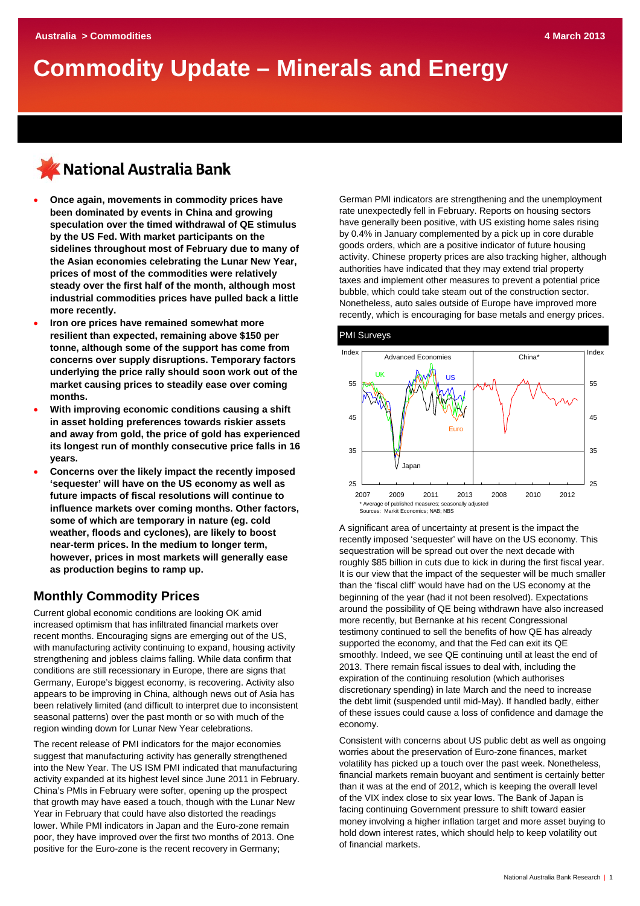# **Commodity Update – Minerals and Energy**

# KNational Australia Bank

- **Once again, movements in commodity prices have been dominated by events in China and growing speculation over the timed withdrawal of QE stimulus by the US Fed. With market participants on the sidelines throughout most of February due to many of the Asian economies celebrating the Lunar New Year, prices of most of the commodities were relatively steady over the first half of the month, although most industrial commodities prices have pulled back a little more recently.**
- **Iron ore prices have remained somewhat more resilient than expected, remaining above \$150 per tonne, although some of the support has come from concerns over supply disruptions. Temporary factors underlying the price rally should soon work out of the market causing prices to steadily ease over coming months.**
- **With improving economic conditions causing a shift in asset holding preferences towards riskier assets and away from gold, the price of gold has experienced its longest run of monthly consecutive price falls in 16 years.**
- **Concerns over the likely impact the recently imposed 'sequester' will have on the US economy as well as future impacts of fiscal resolutions will continue to influence markets over coming months. Other factors, some of which are temporary in nature (eg. cold weather, floods and cyclones), are likely to boost near-term prices. In the medium to longer term, however, prices in most markets will generally ease as production begins to ramp up.**

## **Monthly Commodity Prices**

Current global economic conditions are looking OK amid increased optimism that has infiltrated financial markets over recent months. Encouraging signs are emerging out of the US, with manufacturing activity continuing to expand, housing activity strengthening and jobless claims falling. While data confirm that conditions are still recessionary in Europe, there are signs that Germany, Europe's biggest economy, is recovering. Activity also appears to be improving in China, although news out of Asia has been relatively limited (and difficult to interpret due to inconsistent seasonal patterns) over the past month or so with much of the region winding down for Lunar New Year celebrations.

The recent release of PMI indicators for the major economies suggest that manufacturing activity has generally strengthened into the New Year. The US ISM PMI indicated that manufacturing activity expanded at its highest level since June 2011 in February. China's PMIs in February were softer, opening up the prospect that growth may have eased a touch, though with the Lunar New Year in February that could have also distorted the readings lower. While PMI indicators in Japan and the Euro-zone remain poor, they have improved over the first two months of 2013. One positive for the Euro-zone is the recent recovery in Germany;

German PMI indicators are strengthening and the unemployment rate unexpectedly fell in February. Reports on housing sectors have generally been positive, with US existing home sales rising by 0.4% in January complemented by a pick up in core durable goods orders, which are a positive indicator of future housing activity. Chinese property prices are also tracking higher, although authorities have indicated that they may extend trial property taxes and implement other measures to prevent a potential price bubble, which could take steam out of the construction sector. Nonetheless, auto sales outside of Europe have improved more recently, which is encouraging for base metals and energy prices.



A significant area of uncertainty at present is the impact the recently imposed 'sequester' will have on the US economy. This sequestration will be spread out over the next decade with roughly \$85 billion in cuts due to kick in during the first fiscal year. It is our view that the impact of the sequester will be much smaller than the 'fiscal cliff' would have had on the US economy at the beginning of the year (had it not been resolved). Expectations around the possibility of QE being withdrawn have also increased more recently, but Bernanke at his recent Congressional testimony continued to sell the benefits of how QE has already supported the economy, and that the Fed can exit its QE smoothly. Indeed, we see QE continuing until at least the end of 2013. There remain fiscal issues to deal with, including the expiration of the continuing resolution (which authorises discretionary spending) in late March and the need to increase the debt limit (suspended until mid-May). If handled badly, either of these issues could cause a loss of confidence and damage the economy.

Consistent with concerns about US public debt as well as ongoing worries about the preservation of Euro-zone finances, market volatility has picked up a touch over the past week. Nonetheless, financial markets remain buoyant and sentiment is certainly better than it was at the end of 2012, which is keeping the overall level of the VIX index close to six year lows. The Bank of Japan is facing continuing Government pressure to shift toward easier money involving a higher inflation target and more asset buying to hold down interest rates, which should help to keep volatility out of financial markets.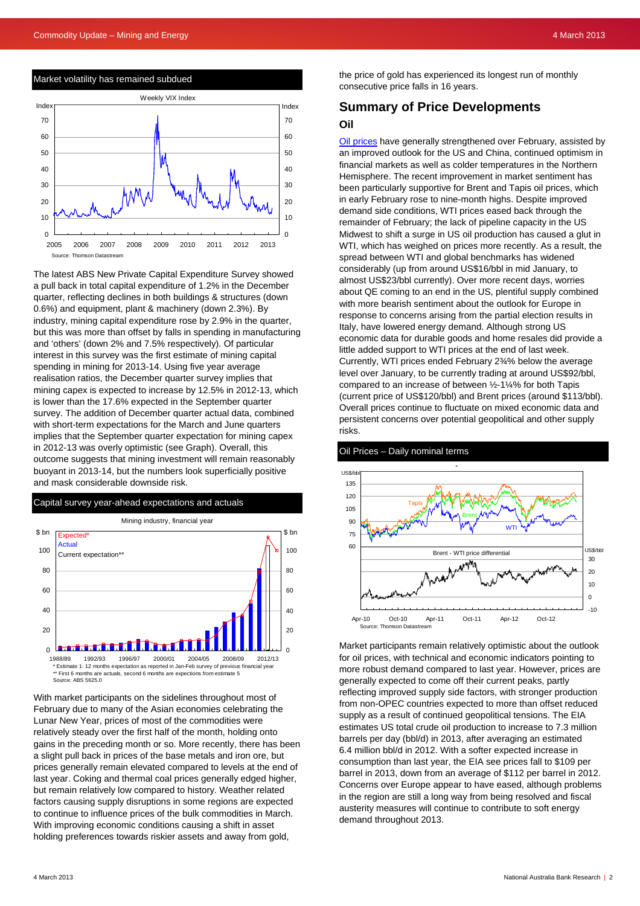## Market volatility has remained subdued



The latest ABS New Private Capital Expenditure Survey showed a pull back in total capital expenditure of 1.2% in the December quarter, reflecting declines in both buildings & structures (down 0.6%) and equipment, plant & machinery (down 2.3%). By industry, mining capital expenditure rose by 2.9% in the quarter, but this was more than offset by falls in spending in manufacturing and 'others' (down 2% and 7.5% respectively). Of particular interest in this survey was the first estimate of mining capital spending in mining for 2013-14. Using five year average realisation ratios, the December quarter survey implies that mining capex is expected to increase by 12.5% in 2012-13, which is lower than the 17.6% expected in the September quarter survey. The addition of December quarter actual data, combined with short-term expectations for the March and June quarters implies that the September quarter expectation for mining capex in 2012-13 was overly optimistic (see Graph). Overall, this outcome suggests that mining investment will remain reasonably buoyant in 2013-14, but the numbers look superficially positive and mask considerable downside risk.



With market participants on the sidelines throughout most of February due to many of the Asian economies celebrating the Lunar New Year, prices of most of the commodities were relatively steady over the first half of the month, holding onto gains in the preceding month or so. More recently, there has been a slight pull back in prices of the base metals and iron ore, but prices generally remain elevated compared to levels at the end of last year. Coking and thermal coal prices generally edged higher, but remain relatively low compared to history. Weather related factors causing supply disruptions in some regions are expected to continue to influence prices of the bulk commodities in March. With improving economic conditions causing a shift in asset holding preferences towards riskier assets and away from gold,

the price of gold has experienced its longest run of monthly consecutive price falls in 16 years.

## **Summary of Price Developments Oil**

[Oil prices](http://www.nab.com.au/wps/wcm/connect/nab/nab/home/business_solutions/10/1/13) have generally strengthened over February, assisted by an improved outlook for the US and China, continued optimism in financial markets as well as colder temperatures in the Northern Hemisphere. The recent improvement in market sentiment has been particularly supportive for Brent and Tapis oil prices, which in early February rose to nine-month highs. Despite improved demand side conditions, WTI prices eased back through the remainder of February; the lack of pipeline capacity in the US Midwest to shift a surge in US oil production has caused a glut in WTI, which has weighed on prices more recently. As a result, the spread between WTI and global benchmarks has widened considerably (up from around US\$16/bbl in mid January, to almost US\$23/bbl currently). Over more recent days, worries about QE coming to an end in the US, plentiful supply combined with more bearish sentiment about the outlook for Europe in response to concerns arising from the partial election results in Italy, have lowered energy demand. Although strong US economic data for durable goods and home resales did provide a little added support to WTI prices at the end of last week. Currently, WTI prices ended February 2¾% below the average level over January, to be currently trading at around US\$92/bbl, compared to an increase of between ½-1¼% for both Tapis (current price of US\$120/bbl) and Brent prices (around \$113/bbl). Overall prices continue to fluctuate on mixed economic data and persistent concerns over potential geopolitical and other supply risks.





Market participants remain relatively optimistic about the outlook for oil prices, with technical and economic indicators pointing to more robust demand compared to last year. However, prices are generally expected to come off their current peaks, partly reflecting improved supply side factors, with stronger production from non-OPEC countries expected to more than offset reduced supply as a result of continued geopolitical tensions. The EIA estimates US total crude oil production to increase to 7.3 million barrels per day (bbl/d) in 2013, after averaging an estimated 6.4 million bbl/d in 2012. With a softer expected increase in consumption than last year, the EIA see prices fall to \$109 per barrel in 2013, down from an average of \$112 per barrel in 2012. Concerns over Europe appear to have eased, although problems in the region are still a long way from being resolved and fiscal austerity measures will continue to contribute to soft energy demand throughout 2013.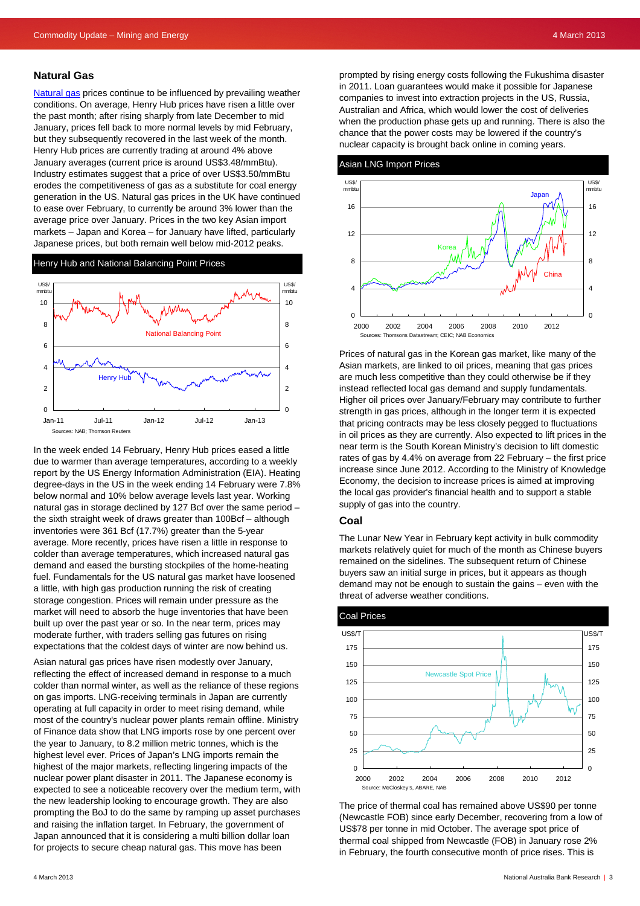## **Natural Gas**

[Natural gas](http://www.nab.com.au/wps/wcm/connect/nab/nab/home/business_solutions/10/1/13) prices continue to be influenced by prevailing weather conditions. On average, Henry Hub prices have risen a little over the past month; after rising sharply from late December to mid January, prices fell back to more normal levels by mid February, but they subsequently recovered in the last week of the month. Henry Hub prices are currently trading at around 4% above January averages (current price is around US\$3.48/mmBtu). Industry estimates suggest that a price of over US\$3.50/mmBtu erodes the competitiveness of gas as a substitute for coal energy generation in the US. Natural gas prices in the UK have continued to ease over February, to currently be around 3% lower than the average price over January. Prices in the two key Asian import markets – Japan and Korea – for January have lifted, particularly Japanese prices, but both remain well below mid-2012 peaks.



In the week ended 14 February, Henry Hub prices eased a little due to warmer than average temperatures, according to a weekly report by the US Energy Information Administration (EIA). Heating degree-days in the US in the week ending 14 February were 7.8% below normal and 10% below average levels last year. Working natural gas in storage declined by 127 Bcf over the same period – the sixth straight week of draws greater than 100Bcf – although inventories were 361 Bcf (17.7%) greater than the 5-year average. More recently, prices have risen a little in response to colder than average temperatures, which increased natural gas demand and eased the bursting stockpiles of the home-heating fuel. Fundamentals for the US natural gas market have loosened a little, with high gas production running the risk of creating storage congestion. Prices will remain under pressure as the market will need to absorb the huge inventories that have been built up over the past year or so. In the near term, prices may moderate further, with traders selling gas futures on rising expectations that the coldest days of winter are now behind us.

Asian natural gas prices have risen modestly over January, reflecting the effect of increased demand in response to a much colder than normal winter, as well as the reliance of these regions on gas imports. LNG-receiving terminals in Japan are currently operating at full capacity in order to meet rising demand, while most of the country's nuclear power plants remain offline. Ministry of Finance data show that LNG imports rose by one percent over the year to January, to 8.2 million metric tonnes, which is the highest level ever. Prices of Japan's LNG imports remain the highest of the major markets, reflecting lingering impacts of the nuclear power plant disaster in 2011. The Japanese economy is expected to see a noticeable recovery over the medium term, with the new leadership looking to encourage growth. They are also prompting the BoJ to do the same by ramping up asset purchases and raising the inflation target. In February, the government of Japan announced that it is considering a multi billion dollar loan for projects to secure cheap natural gas. This move has been

prompted by rising energy costs following the Fukushima disaster in 2011. Loan guarantees would make it possible for Japanese companies to invest into extraction projects in the US, Russia, Australian and Africa, which would lower the cost of deliveries when the production phase gets up and running. There is also the chance that the power costs may be lowered if the country's nuclear capacity is brought back online in coming years.



Prices of natural gas in the Korean gas market, like many of the Asian markets, are linked to oil prices, meaning that gas prices are much less competitive than they could otherwise be if they instead reflected local gas demand and supply fundamentals. Higher oil prices over January/February may contribute to further strength in gas prices, although in the longer term it is expected that pricing contracts may be less closely pegged to fluctuations in oil prices as they are currently. Also expected to lift prices in the near term is the South Korean Ministry's decision to lift domestic rates of gas by 4.4% on average from 22 February – the first price increase since June 2012. According to the Ministry of Knowledge Economy, the decision to increase prices is aimed at improving the local gas provider's financial health and to support a stable supply of gas into the country.

#### **Coal**

The Lunar New Year in February kept activity in bulk commodity markets relatively quiet for much of the month as Chinese buyers remained on the sidelines. The subsequent return of Chinese buyers saw an initial surge in prices, but it appears as though demand may not be enough to sustain the gains – even with the threat of adverse weather conditions.



The price of thermal coal has remained above US\$90 per tonne (Newcastle FOB) since early December, recovering from a low of US\$78 per tonne in mid October. The average spot price of thermal coal shipped from Newcastle (FOB) in January rose 2% in February, the fourth consecutive month of price rises. This is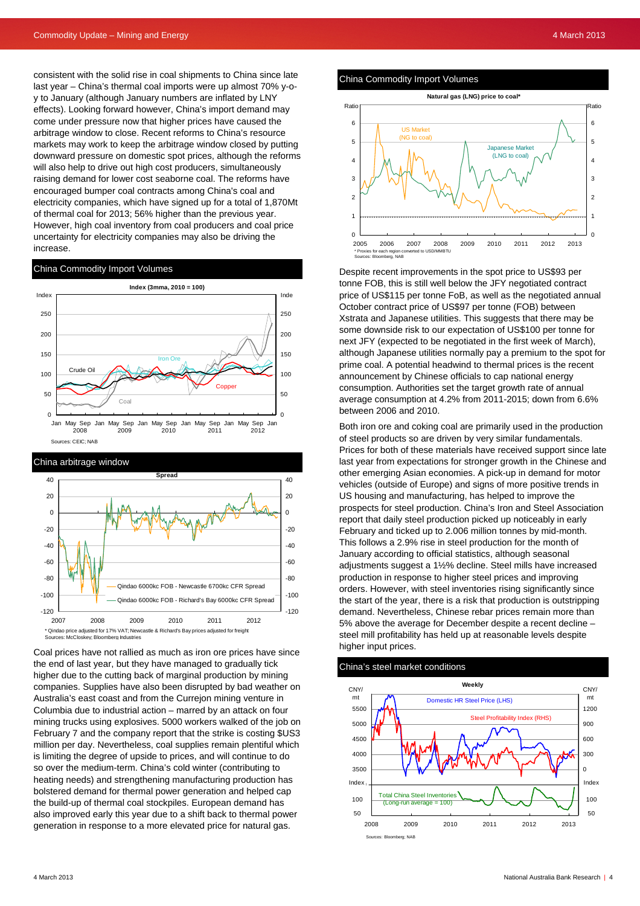consistent with the solid rise in coal shipments to China since late last year – China's thermal coal imports were up almost 70% y-oy to January (although January numbers are inflated by LNY effects). Looking forward however, China's import demand may come under pressure now that higher prices have caused the arbitrage window to close. Recent reforms to China's resource markets may work to keep the arbitrage window closed by putting downward pressure on domestic spot prices, although the reforms will also help to drive out high cost producers, simultaneously raising demand for lower cost seaborne coal. The reforms have encouraged bumper coal contracts among China's coal and electricity companies, which have signed up for a total of 1,870Mt of thermal coal for 2013; 56% higher than the previous year. However, high coal inventory from coal producers and coal price uncertainty for electricity companies may also be driving the increase.

#### China Commodity Import Volumes



China arbitrage window



Coal prices have not rallied as much as iron ore prices have since the end of last year, but they have managed to gradually tick higher due to the cutting back of marginal production by mining companies. Supplies have also been disrupted by bad weather on Australia's east coast and from the Currejon mining venture in Columbia due to industrial action – marred by an attack on four mining trucks using explosives. 5000 workers walked of the job on February 7 and the company report that the strike is costing \$US3 million per day. Nevertheless, coal supplies remain plentiful which is limiting the degree of upside to prices, and will continue to do so over the medium-term. China's cold winter (contributing to heating needs) and strengthening manufacturing production has bolstered demand for thermal power generation and helped cap the build-up of thermal coal stockpiles. European demand has also improved early this year due to a shift back to thermal power generation in response to a more elevated price for natural gas.

#### China Commodity Import Volumes



Despite recent improvements in the spot price to US\$93 per tonne FOB, this is still well below the JFY negotiated contract price of US\$115 per tonne FoB, as well as the negotiated annual October contract price of US\$97 per tonne (FOB) between Xstrata and Japanese utilities. This suggests that there may be some downside risk to our expectation of US\$100 per tonne for next JFY (expected to be negotiated in the first week of March), although Japanese utilities normally pay a premium to the spot for prime coal. A potential headwind to thermal prices is the recent announcement by Chinese officials to cap national energy consumption. Authorities set the target growth rate of annual average consumption at 4.2% from 2011-2015; down from 6.6% between 2006 and 2010.

Both iron ore and coking coal are primarily used in the production of steel products so are driven by very similar fundamentals. Prices for both of these materials have received support since late last year from expectations for stronger growth in the Chinese and other emerging Asian economies. A pick-up in demand for motor vehicles (outside of Europe) and signs of more positive trends in US housing and manufacturing, has helped to improve the prospects for steel production. China's Iron and Steel Association report that daily steel production picked up noticeably in early February and ticked up to 2.006 million tonnes by mid-month. This follows a 2.9% rise in steel production for the month of January according to official statistics, although seasonal adjustments suggest a 1½% decline. Steel mills have increased production in response to higher steel prices and improving orders. However, with steel inventories rising significantly since the start of the year, there is a risk that production is outstripping demand. Nevertheless, Chinese rebar prices remain more than 5% above the average for December despite a recent decline – steel mill profitability has held up at reasonable levels despite higher input prices.

#### China's steel market conditions

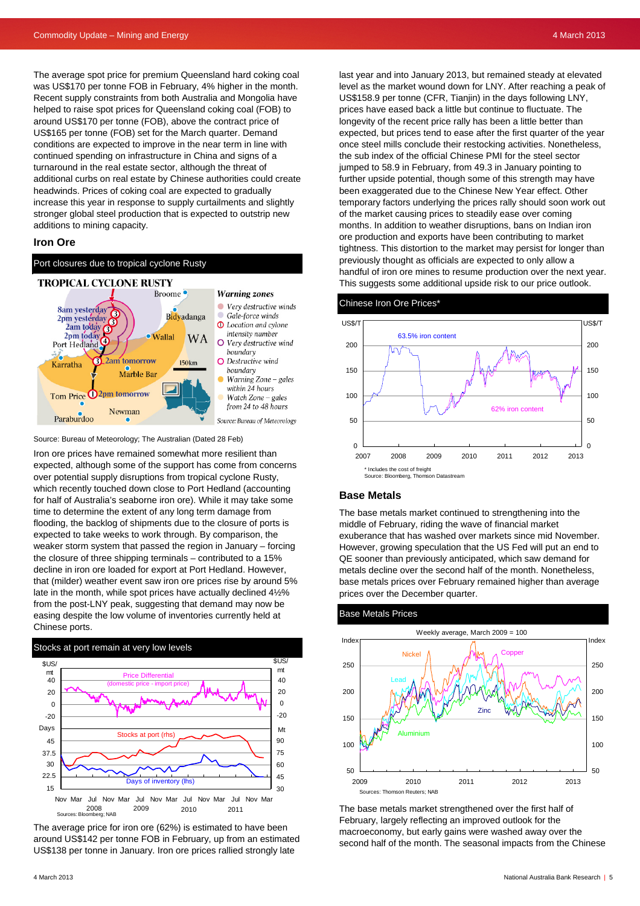The average spot price for premium Queensland hard coking coal was US\$170 per tonne FOB in February, 4% higher in the month. Recent supply constraints from both Australia and Mongolia have helped to raise spot prices for Queensland coking coal (FOB) to around US\$170 per tonne (FOB), above the contract price of US\$165 per tonne (FOB) set for the March quarter. Demand conditions are expected to improve in the near term in line with continued spending on infrastructure in China and signs of a turnaround in the real estate sector, although the threat of additional curbs on real estate by Chinese authorities could create headwinds. Prices of coking coal are expected to gradually increase this year in response to supply curtailments and slightly stronger global steel production that is expected to outstrip new additions to mining capacity.

## **Iron Ore**



#### Source: Bureau of Meteorology; The Australian (Dated 28 Feb)

Iron ore prices have remained somewhat more resilient than expected, although some of the support has come from concerns over potential supply disruptions from tropical cyclone Rusty, which recently touched down close to Port Hedland (accounting for half of Australia's seaborne iron ore). While it may take some time to determine the extent of any long term damage from flooding, the backlog of shipments due to the closure of ports is expected to take weeks to work through. By comparison, the weaker storm system that passed the region in January – forcing the closure of three shipping terminals – contributed to a 15% decline in iron ore loaded for export at Port Hedland. However, that (milder) weather event saw iron ore prices rise by around 5% late in the month, while spot prices have actually declined 4½% from the post-LNY peak, suggesting that demand may now be easing despite the low volume of inventories currently held at Chinese ports.



The average price for iron ore (62%) is estimated to have been around US\$142 per tonne FOB in February, up from an estimated US\$138 per tonne in January. Iron ore prices rallied strongly late

last year and into January 2013, but remained steady at elevated level as the market wound down for LNY. After reaching a peak of US\$158.9 per tonne (CFR, Tianjin) in the days following LNY, prices have eased back a little but continue to fluctuate. The longevity of the recent price rally has been a little better than expected, but prices tend to ease after the first quarter of the year once steel mills conclude their restocking activities. Nonetheless, the sub index of the official Chinese PMI for the steel sector jumped to 58.9 in February, from 49.3 in January pointing to further upside potential, though some of this strength may have been exaggerated due to the Chinese New Year effect. Other temporary factors underlying the prices rally should soon work out of the market causing prices to steadily ease over coming months. In addition to weather disruptions, bans on Indian iron ore production and exports have been contributing to market tightness. This distortion to the market may persist for longer than previously thought as officials are expected to only allow a handful of iron ore mines to resume production over the next year. This suggests some additional upside risk to our price outlook.





## **Base Metals**

The base metals market continued to strengthening into the middle of February, riding the wave of financial market exuberance that has washed over markets since mid November. However, growing speculation that the US Fed will put an end to QE sooner than previously anticipated, which saw demand for metals decline over the second half of the month. Nonetheless, base metals prices over February remained higher than average prices over the December quarter.

#### Base Metals Prices



The base metals market strengthened over the first half of February, largely reflecting an improved outlook for the macroeconomy, but early gains were washed away over the second half of the month. The seasonal impacts from the Chinese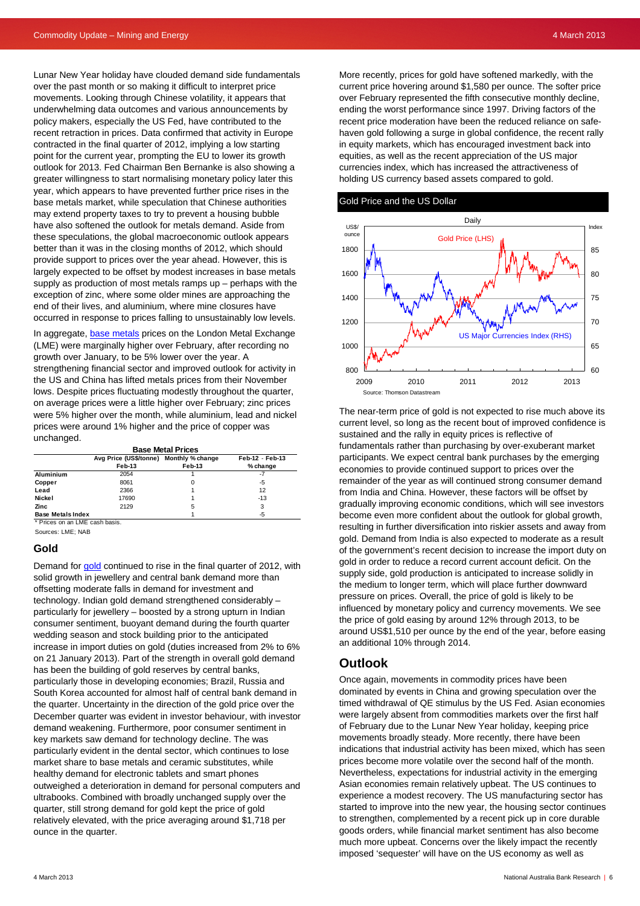Lunar New Year holiday have clouded demand side fundamentals over the past month or so making it difficult to interpret price movements. Looking through Chinese volatility, it appears that underwhelming data outcomes and various announcements by policy makers, especially the US Fed, have contributed to the recent retraction in prices. Data confirmed that activity in Europe contracted in the final quarter of 2012, implying a low starting point for the current year, prompting the EU to lower its growth outlook for 2013. Fed Chairman Ben Bernanke is also showing a greater willingness to start normalising monetary policy later this year, which appears to have prevented further price rises in the base metals market, while speculation that Chinese authorities may extend property taxes to try to prevent a housing bubble have also softened the outlook for metals demand. Aside from these speculations, the global macroeconomic outlook appears better than it was in the closing months of 2012, which should provide support to prices over the year ahead. However, this is largely expected to be offset by modest increases in base metals supply as production of most metals ramps up – perhaps with the exception of zinc, where some older mines are approaching the end of their lives, and aluminium, where mine closures have occurred in response to prices falling to unsustainably low levels.

In aggregate, [base metals](http://www.nab.com.au/wps/wcm/connect/nab/nab/home/business_solutions/10/1/13) prices on the London Metal Exchange (LME) were marginally higher over February, after recording no growth over January, to be 5% lower over the year. A strengthening financial sector and improved outlook for activity in the US and China has lifted metals prices from their November lows. Despite prices fluctuating modestly throughout the quarter, on average prices were a little higher over February; zinc prices were 5% higher over the month, while aluminium, lead and nickel prices were around 1% higher and the price of copper was unchanged.

**Base Metal Prices**

|                                | Avg Price (US\$/tonne) Monthly % change |        | Feb-12 - Feb-13 |
|--------------------------------|-----------------------------------------|--------|-----------------|
|                                | Feb-13                                  | Feb-13 | % change        |
| Aluminium                      | 2054                                    |        | -7              |
| Copper                         | 8061                                    | Ω      | -5              |
| Lead                           | 2366                                    |        | 12              |
| Nickel                         | 17690                                   |        | $-13$           |
| Zinc                           | 2129                                    | 5      | 3               |
| <b>Base Metals Index</b>       |                                         |        | -5              |
| * Prices on an LME cash basis. |                                         |        |                 |

Sources: LME; NAB

#### **Gold**

Demand for [gold](http://www.nab.com.au/wps/wcm/connect/nab/nab/home/business_solutions/10/1/13) continued to rise in the final quarter of 2012, with solid growth in jewellery and central bank demand more than offsetting moderate falls in demand for investment and technology. Indian gold demand strengthened considerably – particularly for jewellery – boosted by a strong upturn in Indian consumer sentiment, buoyant demand during the fourth quarter wedding season and stock building prior to the anticipated increase in import duties on gold (duties increased from 2% to 6% on 21 January 2013). Part of the strength in overall gold demand has been the building of gold reserves by central banks, particularly those in developing economies; Brazil, Russia and South Korea accounted for almost half of central bank demand in the quarter. Uncertainty in the direction of the gold price over the December quarter was evident in investor behaviour, with investor demand weakening. Furthermore, poor consumer sentiment in key markets saw demand for technology decline. The was particularly evident in the dental sector, which continues to lose market share to base metals and ceramic substitutes, while healthy demand for electronic tablets and smart phones outweighed a deterioration in demand for personal computers and ultrabooks. Combined with broadly unchanged supply over the quarter, still strong demand for gold kept the price of gold relatively elevated, with the price averaging around \$1,718 per ounce in the quarter.

More recently, prices for gold have softened markedly, with the current price hovering around \$1,580 per ounce. The softer price over February represented the fifth consecutive monthly decline, ending the worst performance since 1997. Driving factors of the recent price moderation have been the reduced reliance on safehaven gold following a surge in global confidence, the recent rally in equity markets, which has encouraged investment back into equities, as well as the recent appreciation of the US major currencies index, which has increased the attractiveness of holding US currency based assets compared to gold.

#### Gold Price and the US Dollar



The near-term price of gold is not expected to rise much above its current level, so long as the recent bout of improved confidence is sustained and the rally in equity prices is reflective of fundamentals rather than purchasing by over-exuberant market participants. We expect central bank purchases by the emerging economies to provide continued support to prices over the remainder of the year as will continued strong consumer demand from India and China. However, these factors will be offset by gradually improving economic conditions, which will see investors become even more confident about the outlook for global growth, resulting in further diversification into riskier assets and away from gold. Demand from India is also expected to moderate as a result of the government's recent decision to increase the import duty on gold in order to reduce a record current account deficit. On the supply side, gold production is anticipated to increase solidly in the medium to longer term, which will place further downward pressure on prices. Overall, the price of gold is likely to be influenced by monetary policy and currency movements. We see the price of gold easing by around 12% through 2013, to be around US\$1,510 per ounce by the end of the year, before easing an additional 10% through 2014.

## **Outlook**

Once again, movements in commodity prices have been dominated by events in China and growing speculation over the timed withdrawal of QE stimulus by the US Fed. Asian economies were largely absent from commodities markets over the first half of February due to the Lunar New Year holiday, keeping price movements broadly steady. More recently, there have been indications that industrial activity has been mixed, which has seen prices become more volatile over the second half of the month. Nevertheless, expectations for industrial activity in the emerging Asian economies remain relatively upbeat. The US continues to experience a modest recovery. The US manufacturing sector has started to improve into the new year, the housing sector continues to strengthen, complemented by a recent pick up in core durable goods orders, while financial market sentiment has also become much more upbeat. Concerns over the likely impact the recently imposed 'sequester' will have on the US economy as well as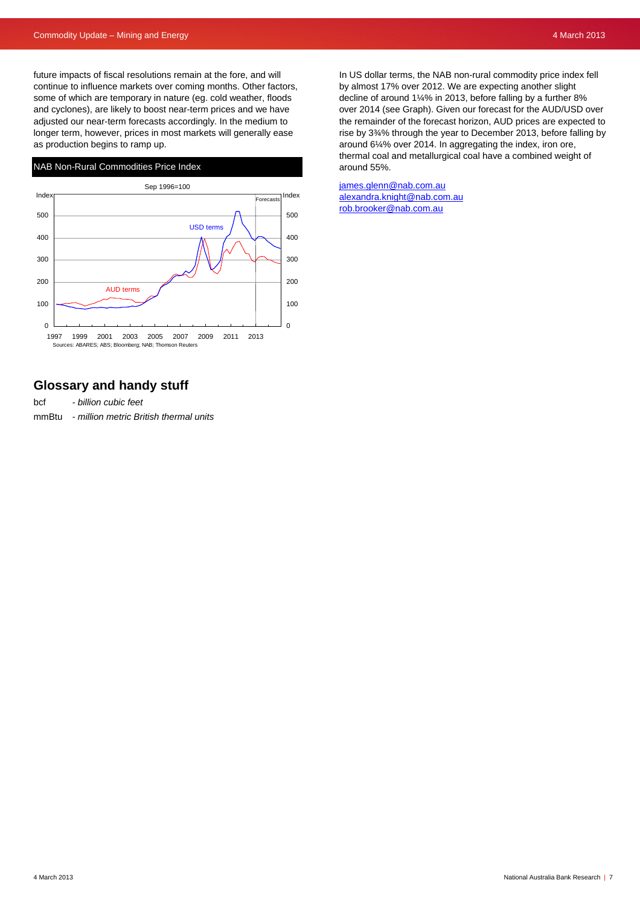future impacts of fiscal resolutions remain at the fore, and will continue to influence markets over coming months. Other factors, some of which are temporary in nature (eg. cold weather, floods and cyclones), are likely to boost near-term prices and we have adjusted our near-term forecasts accordingly. In the medium to longer term, however, prices in most markets will generally ease as production begins to ramp up.

NAB Non-Rural Commodities Price Index



**Glossary and handy stuff** 

bcf *- billion cubic feet* 

mmBtu *- million metric British thermal units* 

In US dollar terms, the NAB non-rural commodity price index fell by almost 17% over 2012. We are expecting another slight decline of around 1¼% in 2013, before falling by a further 8% over 2014 (see Graph). Given our forecast for the AUD/USD over the remainder of the forecast horizon, AUD prices are expected to rise by 3¾% through the year to December 2013, before falling by around 6¼% over 2014. In aggregating the index, iron ore, thermal coal and metallurgical coal have a combined weight of around 55%.

[james.glenn@nab.com.au](mailto:james.glenn@nab.com.au) [alexandra.knight@nab.com.au](mailto:alexandra.knight@nab.com.au)  [rob.brooker@nab.com.au](mailto:rob.brooker@nab.com.au)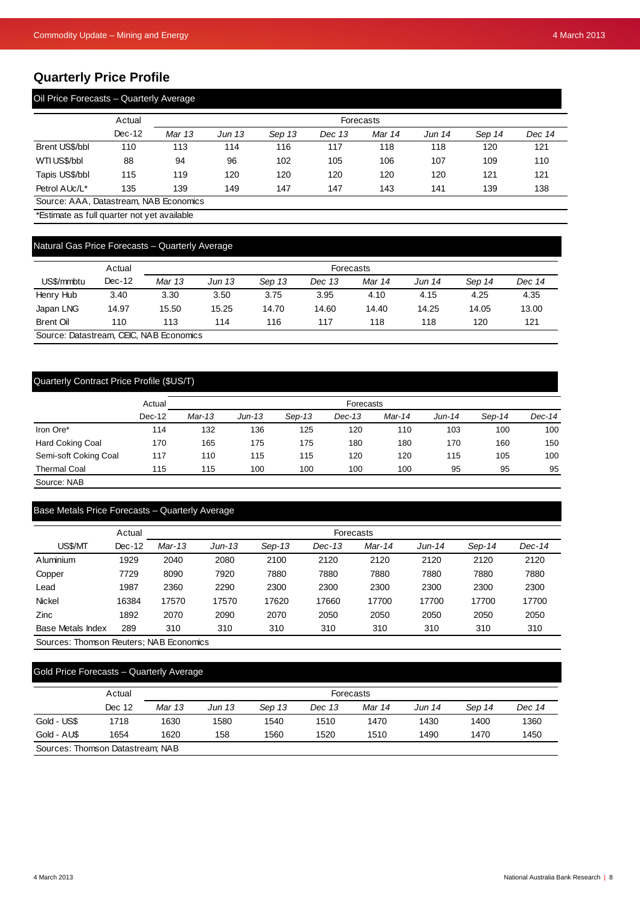# **Quarterly Price Profile**

## Oil Price Forecasts – Quarterly Average

|                              | Actual |          |        |        |        | Forecasts |        |        |        |
|------------------------------|--------|----------|--------|--------|--------|-----------|--------|--------|--------|
|                              | Dec-12 | Mar 13   | Jun 13 | Sep 13 | Dec 13 | Mar 14    | Jun 14 | Sep 14 | Dec 14 |
| Brent US\$/bbl               | 110    | 113      | 114    | 116    | 117    | 118       | 118    | 120    | 121    |
| WTI US\$/bbl                 | 88     | 94       | 96     | 102    | 105    | 106       | 107    | 109    | 110    |
| Tapis US\$/bbl               | 115    | 119      | 120    | 120    | 120    | 120       | 120    | 121    | 121    |
| Petrol AUc/L*<br>$\sim$<br>. | 135    | 139<br>. | 149    | 147    | 147    | 143       | 141    | 139    | 138    |

Source: AAA, Datastream, NAB Economics

\*Estimate as full quarter not yet available

## Natural Gas Price Forecasts – Quarterly Average

|                                         | Actual | Forecasts |        |        |        |        |        |        |        |  |  |
|-----------------------------------------|--------|-----------|--------|--------|--------|--------|--------|--------|--------|--|--|
| US\$/mmbtu                              | Dec-12 | Mar 13    | Jun 13 | Sep 13 | Dec 13 | Mar 14 | Jun 14 | Sep 14 | Dec 14 |  |  |
| Henry Hub                               | 3.40   | 3.30      | 3.50   | 3.75   | 3.95   | 4.10   | 4.15   | 4.25   | 4.35   |  |  |
| Japan LNG                               | 14.97  | 15.50     | 15.25  | 14.70  | 14.60  | 14.40  | 14.25  | 14.05  | 13.00  |  |  |
| Brent Oil                               | 110    | 113       | 114    | 116    | 117    | 118    | 118    | 120    | 121    |  |  |
| Source: Datastream, CEIC, NAB Economics |        |           |        |        |        |        |        |        |        |  |  |

## Quarterly Contract Price Profile (\$US/T)

|                         | Actual   |        |          |          | Forecasts |        |        |        |        |
|-------------------------|----------|--------|----------|----------|-----------|--------|--------|--------|--------|
|                         | $Dec-12$ | Mar-13 | $Jun-13$ | $Sep-13$ | $Dec-13$  | Mar-14 | Jun-14 | Sep-14 | Dec-14 |
| Iron Ore*               | 114      | 132    | 136      | 125      | 120       | 110    | 103    | 100    | 100    |
| <b>Hard Coking Coal</b> | 170      | 165    | 175      | 175      | 180       | 180    | 170    | 160    | 150    |
| Semi-soft Coking Coal   | 117      | 110    | 115      | 115      | 120       | 120    | 115    | 105    | 100    |
| <b>Thermal Coal</b>     | 115      | 115    | 100      | 100      | 100       | 100    | 95     | 95     | 95     |
| Source: NAB             |          |        |          |          |           |        |        |        |        |

# Base Metals Price Forecasts – Quarterly Average

|                   | Actual   |        | Forecasts |        |          |        |        |          |          |  |
|-------------------|----------|--------|-----------|--------|----------|--------|--------|----------|----------|--|
| US\$/MT           | $Dec-12$ | Mar-13 | $Jun-13$  | Sep-13 | $Dec-13$ | Mar-14 | Jun-14 | $Sep-14$ | $Dec-14$ |  |
| Aluminium         | 1929     | 2040   | 2080      | 2100   | 2120     | 2120   | 2120   | 2120     | 2120     |  |
| Copper            | 7729     | 8090   | 7920      | 7880   | 7880     | 7880   | 7880   | 7880     | 7880     |  |
| Lead              | 1987     | 2360   | 2290      | 2300   | 2300     | 2300   | 2300   | 2300     | 2300     |  |
| <b>Nickel</b>     | 16384    | 17570  | 17570     | 17620  | 17660    | 17700  | 17700  | 17700    | 17700    |  |
| <b>Zinc</b>       | 1892     | 2070   | 2090      | 2070   | 2050     | 2050   | 2050   | 2050     | 2050     |  |
| Base Metals Index | 289      | 310    | 310       | 310    | 310      | 310    | 310    | 310      | 310      |  |

Sources: Thomson Reuters; NAB Economics

# Gold Price Forecasts – Quarterly Average

|                                  | Actual |        |        |        |        | Forecasts |        |        |        |
|----------------------------------|--------|--------|--------|--------|--------|-----------|--------|--------|--------|
|                                  | Dec 12 | Mar 13 | Jun 13 | Sep 13 | Dec 13 | Mar 14    | Jun 14 | Sep 14 | Dec 14 |
| Gold - US\$                      | 1718   | 1630   | 1580   | 1540   | 1510   | 1470      | 1430   | 1400   | 1360   |
| Gold - AU\$                      | 1654   | 1620   | 158    | 1560   | 1520   | 1510      | 1490   | 1470   | 1450   |
| Sources: Thomson Datastream; NAB |        |        |        |        |        |           |        |        |        |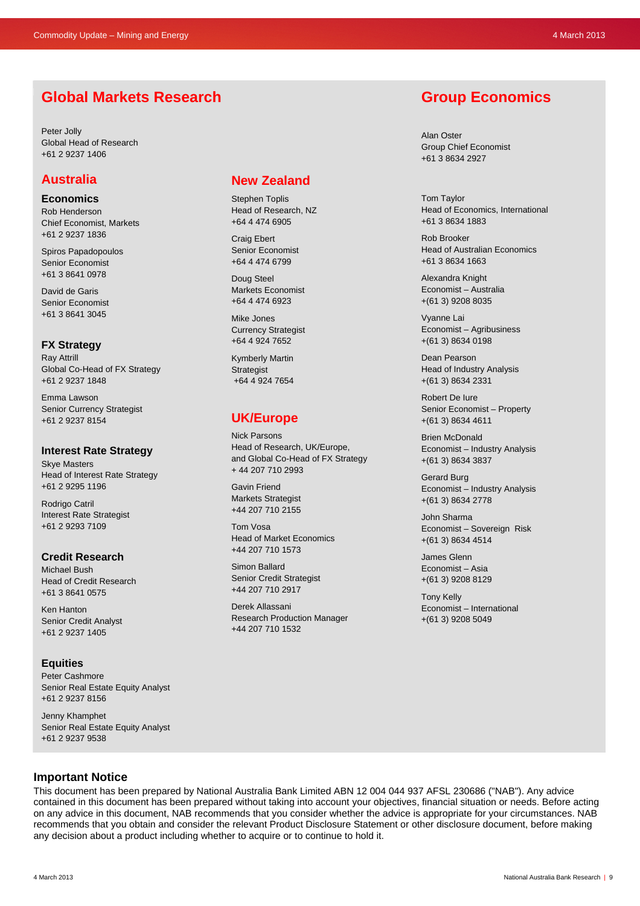# **Global Markets Research**

Peter Jolly Global Head of Research +61 2 9237 1406

# **Australia**

**Economics**  Rob Henderson

Chief Economist, Markets +61 2 9237 1836

Spiros Papadopoulos Senior Economist +61 3 8641 0978

David de Garis Senior Economist +61 3 8641 3045

# **FX Strategy**

Ray Attrill Global Co-Head of FX Strategy +61 2 9237 1848

Emma Lawson Senior Currency Strategist +61 2 9237 8154

## **Interest Rate Strategy**

Skye Masters Head of Interest Rate Strategy +61 2 9295 1196

Rodrigo Catril Interest Rate Strategist +61 2 9293 7109

## **Credit Research**

Michael Bush Head of Credit Research +61 3 8641 0575

Ken Hanton Senior Credit Analyst +61 2 9237 1405

## **Equities**

Peter Cashmore Senior Real Estate Equity Analyst +61 2 9237 8156

Jenny Khamphet Senior Real Estate Equity Analyst +61 2 9237 9538

# **New Zealand**

Stephen Toplis Head of Research, NZ +64 4 474 6905

Craig Ebert Senior Economist +64 4 474 6799

Doug Steel Markets Economist +64 4 474 6923

Mike Jones Currency Strategist +64 4 924 7652

Kymberly Martin Strategist +64 4 924 7654

# **UK/Europe**

Nick Parsons Head of Research, UK/Europe, and Global Co-Head of FX Strategy + 44 207 710 2993

Gavin Friend Markets Strategist +44 207 710 2155

Tom Vosa Head of Market Economics +44 207 710 1573

Simon Ballard Senior Credit Strategist +44 207 710 2917

Derek Allassani Research Production Manager +44 207 710 1532

# **Group Economics**

Alan Oster Group Chief Economist +61 3 8634 2927

Tom Taylor Head of Economics, International +61 3 8634 1883

Rob Brooker Head of Australian Economics +61 3 8634 1663

Alexandra Knight Economist – Australia +(61 3) 9208 8035

Vyanne Lai Economist – Agribusiness +(61 3) 8634 0198

Dean Pearson Head of Industry Analysis +(61 3) 8634 2331

Robert De Iure Senior Economist – Property +(61 3) 8634 4611

Brien McDonald Economist – Industry Analysis +(61 3) 8634 3837

Gerard Burg Economist – Industry Analysis +(61 3) 8634 2778

John Sharma Economist – Sovereign Risk +(61 3) 8634 4514

James Glenn Economist – Asia +(61 3) 9208 8129

Tony Kelly Economist – International +(61 3) 9208 5049

# **Important Notice**

This document has been prepared by National Australia Bank Limited ABN 12 004 044 937 AFSL 230686 ("NAB"). Any advice contained in this document has been prepared without taking into account your objectives, financial situation or needs. Before acting on any advice in this document, NAB recommends that you consider whether the advice is appropriate for your circumstances. NAB recommends that you obtain and consider the relevant Product Disclosure Statement or other disclosure document, before making any decision about a product including whether to acquire or to continue to hold it.